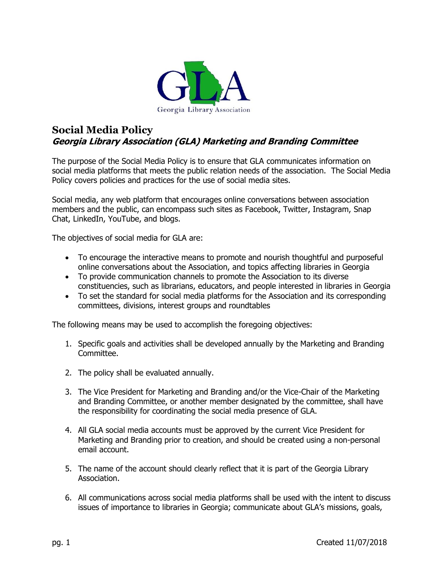

## **Social Media Policy Georgia Library Association (GLA) Marketing and Branding Committee**

The purpose of the Social Media Policy is to ensure that GLA communicates information on social media platforms that meets the public relation needs of the association. The Social Media Policy covers policies and practices for the use of social media sites.

Social media, any web platform that encourages online conversations between association members and the public, can encompass such sites as Facebook, Twitter, Instagram, Snap Chat, LinkedIn, YouTube, and blogs.

The objectives of social media for GLA are:

- To encourage the interactive means to promote and nourish thoughtful and purposeful online conversations about the Association, and topics affecting libraries in Georgia
- To provide communication channels to promote the Association to its diverse constituencies, such as librarians, educators, and people interested in libraries in Georgia
- To set the standard for social media platforms for the Association and its corresponding committees, divisions, interest groups and roundtables

The following means may be used to accomplish the foregoing objectives:

- 1. Specific goals and activities shall be developed annually by the Marketing and Branding Committee.
- 2. The policy shall be evaluated annually.
- 3. The Vice President for Marketing and Branding and/or the Vice-Chair of the Marketing and Branding Committee, or another member designated by the committee, shall have the responsibility for coordinating the social media presence of GLA.
- 4. All GLA social media accounts must be approved by the current Vice President for Marketing and Branding prior to creation, and should be created using a non-personal email account.
- 5. The name of the account should clearly reflect that it is part of the Georgia Library Association.
- 6. All communications across social media platforms shall be used with the intent to discuss issues of importance to libraries in Georgia; communicate about GLA's missions, goals,